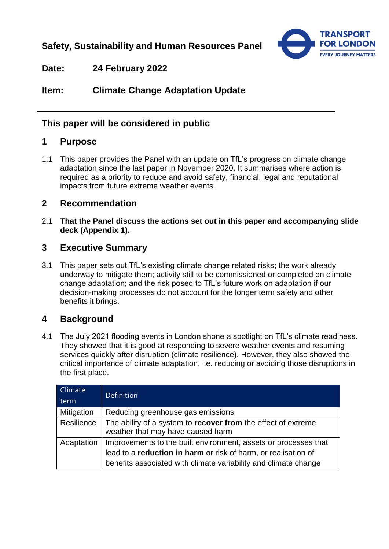**Safety, Sustainability and Human Resources Panel**



**Date: 24 February 2022**

**Item: Climate Change Adaptation Update** 

# **This paper will be considered in public**

## **1 Purpose**

1.1 This paper provides the Panel with an update on TfL's progress on climate change adaptation since the last paper in November 2020. It summarises where action is required as a priority to reduce and avoid safety, financial, legal and reputational impacts from future extreme weather events.

## **2 Recommendation**

2.1 **That the Panel discuss the actions set out in this paper and accompanying slide deck (Appendix 1).**

## **3 Executive Summary**

3.1 This paper sets out TfL's existing climate change related risks; the work already underway to mitigate them; activity still to be commissioned or completed on climate change adaptation; and the risk posed to TfL's future work on adaptation if our decision-making processes do not account for the longer term safety and other benefits it brings.

# **4 Background**

4.1 The July 2021 flooding events in London shone a spotlight on TfL's climate readiness. They showed that it is good at responding to severe weather events and resuming services quickly after disruption (climate resilience). However, they also showed the critical importance of climate adaptation, i.e. reducing or avoiding those disruptions in the first place.

| Climate<br>term | <b>Definition</b>                                                                                                                                                                                    |
|-----------------|------------------------------------------------------------------------------------------------------------------------------------------------------------------------------------------------------|
| Mitigation      | Reducing greenhouse gas emissions                                                                                                                                                                    |
| Resilience      | The ability of a system to recover from the effect of extreme<br>weather that may have caused harm                                                                                                   |
| Adaptation      | Improvements to the built environment, assets or processes that<br>lead to a reduction in harm or risk of harm, or realisation of<br>benefits associated with climate variability and climate change |